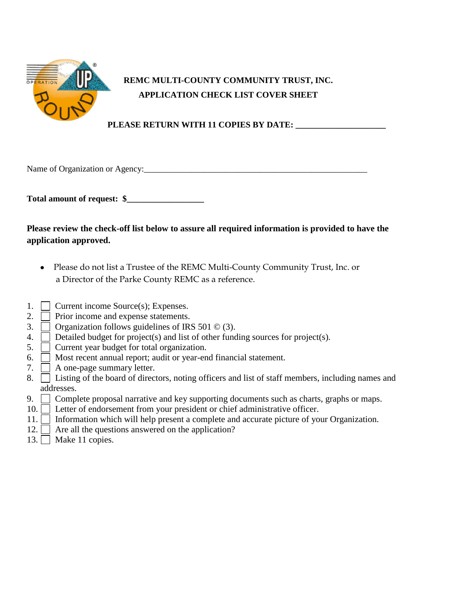

## **REMC MULTI-COUNTY COMMUNITY TRUST, INC. APPLICATION CHECK LIST COVER SHEET**

## **PLEASE RETURN WITH 11 COPIES BY DATE: \_\_\_\_\_\_\_\_\_\_\_\_\_\_\_\_\_\_\_\_\_**

Name of Organization or Agency:\_\_\_\_\_\_\_\_\_\_\_\_\_\_\_\_\_\_\_\_\_\_\_\_\_\_\_\_\_\_\_\_\_\_\_\_\_\_\_\_\_\_\_\_\_\_\_\_\_\_\_\_

**Total amount of request: \$\_\_\_\_\_\_\_\_\_\_\_\_\_\_\_\_\_\_**

## **Please review the check-off list below to assure all required information is provided to have the application approved.**

- Please do not list a Trustee of the REMC Multi-County Community Trust, Inc. or a Director of the Parke County REMC as a reference.
- 1. Current income Source(s); Expenses.
- 2.  $\Box$  Prior income and expense statements.
- 3.  $\Box$  Organization follows guidelines of IRS 501  $\degree$  (3).
- 4.  $\Box$  Detailed budget for project(s) and list of other funding sources for project(s).
- $5. \Box$  Current year budget for total organization.
- 6.  $\Box$  Most recent annual report; audit or year-end financial statement.
- 7.  $\Box$  A one-page summary letter.
- 8. Listing of the board of directors, noting officers and list of staff members, including names and addresses.
- 9. Complete proposal narrative and key supporting documents such as charts, graphs or maps.
- 10. **Letter of endorsement from your president or chief administrative officer.**
- 11. Information which will help present a complete and accurate picture of your Organization.
- 12.  $\Box$  Are all the questions answered on the application?
- 13.  $\Box$  Make 11 copies.